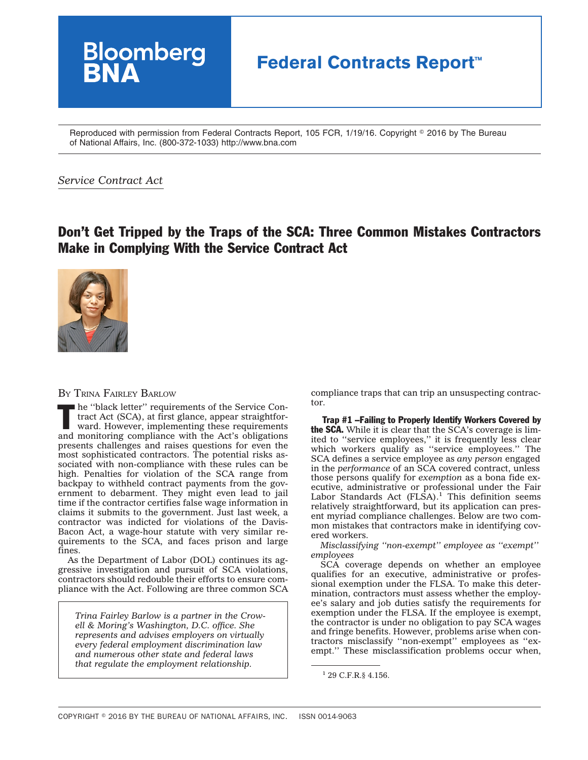## **Bloomberg Federal Contracts Report™**

Reproduced with permission from Federal Contracts Report, 105 FCR, 1/19/16. Copyright © 2016 by The Bureau of National Affairs, Inc. (800-372-1033) http://www.bna.com

## *Service Contract Act*

## Don't Get Tripped by the Traps of the SCA: Three Common Mistakes Contractors Make in Complying With the Service Contract Act



## BY TRINA FAIRLEY BARLOW

The "black letter" requirements of the Service Contract Act (SCA), at first glance, appear straightforward. However, implementing these requirements tract Act (SCA), at first glance, appear straightforward. However, implementing these requirements and monitoring compliance with the Act's obligations presents challenges and raises questions for even the most sophisticated contractors. The potential risks associated with non-compliance with these rules can be high. Penalties for violation of the SCA range from backpay to withheld contract payments from the government to debarment. They might even lead to jail time if the contractor certifies false wage information in claims it submits to the government. Just last week, a contractor was indicted for violations of the Davis-Bacon Act, a wage-hour statute with very similar requirements to the SCA, and faces prison and large fines.

As the Department of Labor (DOL) continues its aggressive investigation and pursuit of SCA violations, contractors should redouble their efforts to ensure compliance with the Act. Following are three common SCA

*Trina Fairley Barlow is a partner in the Crowell & Moring's Washington, D.C. office. She represents and advises employers on virtually every federal employment discrimination law and numerous other state and federal laws that regulate the employment relationship.*

compliance traps that can trip an unsuspecting contractor.

Trap #1 –Failing to Properly Identify Workers Covered by the SCA. While it is clear that the SCA's coverage is limited to ''service employees,'' it is frequently less clear which workers qualify as ''service employees.'' The SCA defines a service employee as *any person* engaged in the *performance* of an SCA covered contract, unless those persons qualify for *exemption* as a bona fide executive, administrative or professional under the Fair Labor Standards Act  $(FLSA)^{1}$  This definition seems relatively straightforward, but its application can present myriad compliance challenges. Below are two common mistakes that contractors make in identifying covered workers.

*Misclassifying ''non-exempt'' employee as ''exempt'' employees*

SCA coverage depends on whether an employee qualifies for an executive, administrative or professional exemption under the FLSA. To make this determination, contractors must assess whether the employee's salary and job duties satisfy the requirements for exemption under the FLSA. If the employee is exempt, the contractor is under no obligation to pay SCA wages and fringe benefits. However, problems arise when contractors misclassify ''non-exempt'' employees as ''exempt.'' These misclassification problems occur when,

<sup>1</sup> 29 C.F.R.§ 4.156.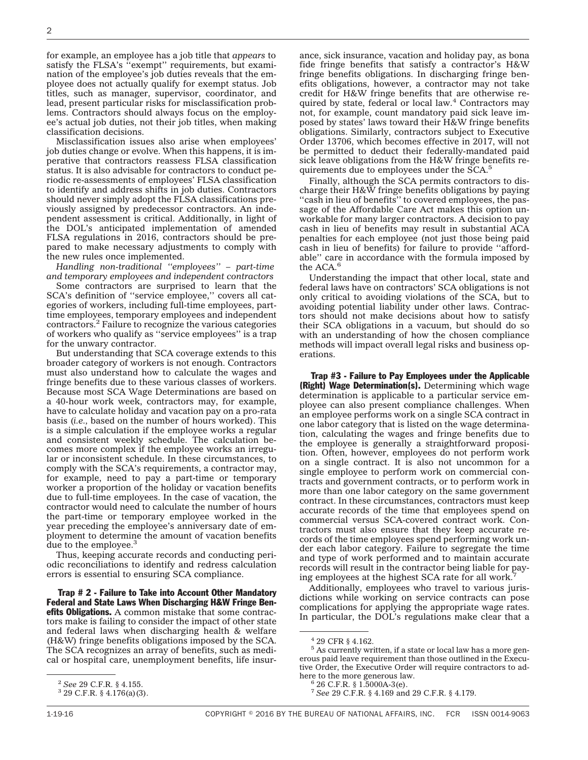for example, an employee has a job title that *appears* to satisfy the FLSA's "exempt" requirements, but examination of the employee's job duties reveals that the employee does not actually qualify for exempt status. Job titles, such as manager, supervisor, coordinator, and lead, present particular risks for misclassification problems. Contractors should always focus on the employee's actual job duties, not their job titles, when making classification decisions.

Misclassification issues also arise when employees' job duties change or evolve. When this happens, it is imperative that contractors reassess FLSA classification status. It is also advisable for contractors to conduct periodic re-assessments of employees' FLSA classification to identify and address shifts in job duties. Contractors should never simply adopt the FLSA classifications previously assigned by predecessor contractors. An independent assessment is critical. Additionally, in light of the DOL's anticipated implementation of amended FLSA regulations in 2016, contractors should be prepared to make necessary adjustments to comply with the new rules once implemented.

*Handling non-traditional ''employees'' – part-time and temporary employees and independent contractors*

Some contractors are surprised to learn that the SCA's definition of ''service employee,'' covers all categories of workers, including full-time employees, parttime employees, temporary employees and independent contractors.2 Failure to recognize the various categories of workers who qualify as ''service employees'' is a trap for the unwary contractor.

But understanding that SCA coverage extends to this broader category of workers is not enough. Contractors must also understand how to calculate the wages and fringe benefits due to these various classes of workers. Because most SCA Wage Determinations are based on a 40-hour work week, contractors may, for example, have to calculate holiday and vacation pay on a pro-rata basis (*i.e.,* based on the number of hours worked). This is a simple calculation if the employee works a regular and consistent weekly schedule. The calculation becomes more complex if the employee works an irregular or inconsistent schedule. In these circumstances, to comply with the SCA's requirements, a contractor may, for example, need to pay a part-time or temporary worker a proportion of the holiday or vacation benefits due to full-time employees. In the case of vacation, the contractor would need to calculate the number of hours the part-time or temporary employee worked in the year preceding the employee's anniversary date of employment to determine the amount of vacation benefits due to the employee.<sup>3</sup>

Thus, keeping accurate records and conducting periodic reconciliations to identify and redress calculation errors is essential to ensuring SCA compliance.

Trap # 2 - Failure to Take into Account Other Mandatory Federal and State Laws When Discharging H&W Fringe Ben**efits Obligations.** A common mistake that some contractors make is failing to consider the impact of other state and federal laws when discharging health & welfare (H&W) fringe benefits obligations imposed by the SCA. The SCA recognizes an array of benefits, such as medical or hospital care, unemployment benefits, life insurance, sick insurance, vacation and holiday pay, as bona fide fringe benefits that satisfy a contractor's H&W fringe benefits obligations. In discharging fringe benefits obligations, however, a contractor may not take credit for H&W fringe benefits that are otherwise required by state, federal or local law. $4$  Contractors may not, for example, count mandatory paid sick leave imposed by states' laws toward their H&W fringe benefits obligations. Similarly, contractors subject to Executive Order 13706, which becomes effective in 2017, will not be permitted to deduct their federally-mandated paid sick leave obligations from the H&W fringe benefits requirements due to employees under the SCA.<sup>5</sup>

Finally, although the SCA permits contractors to discharge their H&W fringe benefits obligations by paying ''cash in lieu of benefits'' to covered employees, the passage of the Affordable Care Act makes this option unworkable for many larger contractors. A decision to pay cash in lieu of benefits may result in substantial ACA penalties for each employee (not just those being paid cash in lieu of benefits) for failure to provide ''affordable'' care in accordance with the formula imposed by the ACA.<sup>6</sup>

Understanding the impact that other local, state and federal laws have on contractors' SCA obligations is not only critical to avoiding violations of the SCA, but to avoiding potential liability under other laws. Contractors should not make decisions about how to satisfy their SCA obligations in a vacuum, but should do so with an understanding of how the chosen compliance methods will impact overall legal risks and business operations.

Trap #3 - Failure to Pay Employees under the Applicable (Right) Wage Determination(s). Determining which wage determination is applicable to a particular service employee can also present compliance challenges. When an employee performs work on a single SCA contract in one labor category that is listed on the wage determination, calculating the wages and fringe benefits due to the employee is generally a straightforward proposition. Often, however, employees do not perform work on a single contract. It is also not uncommon for a single employee to perform work on commercial contracts and government contracts, or to perform work in more than one labor category on the same government contract. In these circumstances, contractors must keep accurate records of the time that employees spend on commercial versus SCA-covered contract work. Contractors must also ensure that they keep accurate records of the time employees spend performing work under each labor category. Failure to segregate the time and type of work performed and to maintain accurate records will result in the contractor being liable for paying employees at the highest SCA rate for all work.<sup>7</sup>

Additionally, employees who travel to various jurisdictions while working on service contracts can pose complications for applying the appropriate wage rates. In particular, the DOL's regulations make clear that a

<sup>2</sup> *See* 29 C.F.R. § 4.155. <sup>3</sup> 29 C.F.R. § 4.176(a)(3).

<sup>4</sup> 29 CFR § 4.162.

<sup>5</sup> As currently written, if a state or local law has a more generous paid leave requirement than those outlined in the Executive Order, the Executive Order will require contractors to adhere to the more generous law.

 $626$  C.F.R. § 1.5000A-3(e).

<sup>7</sup> *See* 29 C.F.R. § 4.169 and 29 C.F.R. § 4.179.